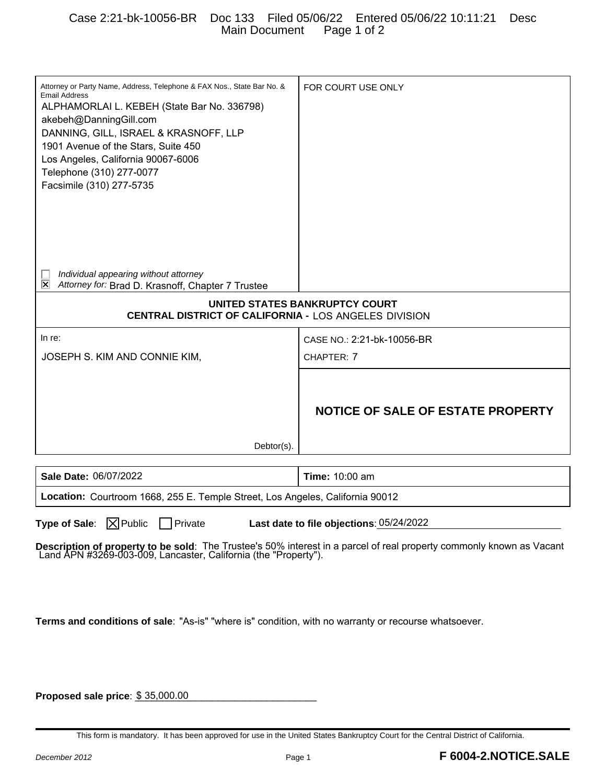## Case 2:21-bk-10056-BR Doc 133 Filed 05/06/22 Entered 05/06/22 10:11:21 Desc Main Document Page 1 of 2

| Attorney or Party Name, Address, Telephone & FAX Nos., State Bar No. &<br><b>Email Address</b><br>ALPHAMORLAI L. KEBEH (State Bar No. 336798)<br>akebeh@DanningGill.com<br>DANNING, GILL, ISRAEL & KRASNOFF, LLP<br>1901 Avenue of the Stars, Suite 450<br>Los Angeles, California 90067-6006<br>Telephone (310) 277-0077<br>Facsimile (310) 277-5735 | FOR COURT USE ONLY                |
|-------------------------------------------------------------------------------------------------------------------------------------------------------------------------------------------------------------------------------------------------------------------------------------------------------------------------------------------------------|-----------------------------------|
| Individual appearing without attorney<br>Ι×<br>Attorney for: Brad D. Krasnoff, Chapter 7 Trustee                                                                                                                                                                                                                                                      |                                   |
| UNITED STATES BANKRUPTCY COURT<br>CENTRAL DISTRICT OF CALIFORNIA - LOS ANGELES DIVISION                                                                                                                                                                                                                                                               |                                   |
| In re:                                                                                                                                                                                                                                                                                                                                                | CASE NO.: 2:21-bk-10056-BR        |
| JOSEPH S. KIM AND CONNIE KIM,                                                                                                                                                                                                                                                                                                                         | CHAPTER: 7                        |
| $Dektor(s)$ .                                                                                                                                                                                                                                                                                                                                         | NOTICE OF SALE OF ESTATE PROPERTY |
|                                                                                                                                                                                                                                                                                                                                                       |                                   |
| Sale Date: 06/07/2022                                                                                                                                                                                                                                                                                                                                 | <b>Time: 10:00 am</b>             |
| Location: Courtroom 1668, 255 E. Temple Street, Los Angeles, California 90012                                                                                                                                                                                                                                                                         |                                   |
| Type of Sale: $\boxed{\times}$ Public<br>$\Box$ Private<br>Last date to file objections: 05/24/2022<br>Description of property to be sold: The Trustee's 50% interest in a parcel of real property commonly known as Vacant Land APN #3269-003-009, Lancaster, California (the "Property").                                                           |                                   |
| Terms and conditions of sale: "As-is" "where is" condition, with no warranty or recourse whatsoever.                                                                                                                                                                                                                                                  |                                   |

**Proposed sale price**:  $$35,000.00$ 

This form is mandatory. It has been approved for use in the United States Bankruptcy Court for the Central District of California.